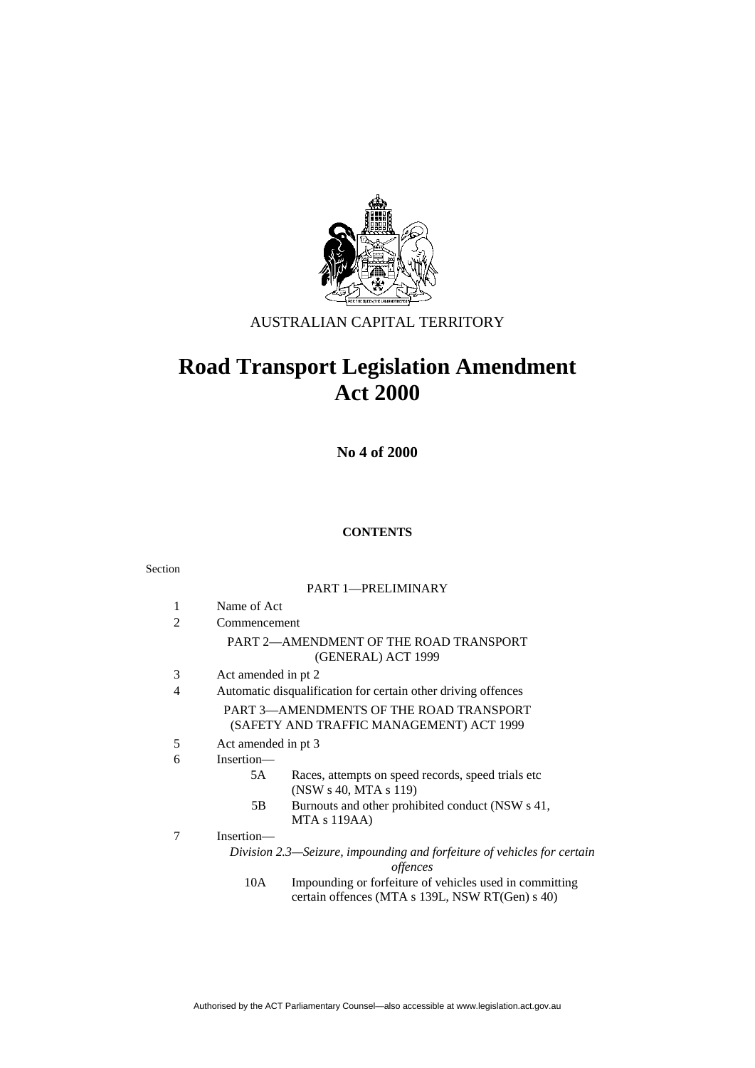

# AUSTRALIAN CAPITAL TERRITORY

# **Road Transport Legislation Amendment Act 2000**

**No 4 of 2000** 

### **CONTENTS**

#### Section

#### PART 1—PRELIMINARY

| 1 | Name of Act                                                                         |
|---|-------------------------------------------------------------------------------------|
| 2 | Commencement                                                                        |
|   | PART 2—AMENDMENT OF THE ROAD TRANSPORT<br>(GENERAL) ACT 1999                        |
| 3 | Act amended in pt 2                                                                 |
| 4 | Automatic disqualification for certain other driving offences                       |
|   | PART 3—AMENDMENTS OF THE ROAD TRANSPORT<br>(SAFETY AND TRAFFIC MANAGEMENT) ACT 1999 |
| 5 | Act amended in pt 3                                                                 |
| 6 | Insertion—                                                                          |
|   | Races, attempts on speed records, speed trials etc.<br>5A<br>(NSW s 40, MTA s 119)  |
|   | Burnouts and other prohibited conduct (NSW s 41,<br>5Β<br>$MTA \s119AA$             |
| 7 | Insertion-                                                                          |
|   | Division 2.3—Seizure, impounding and forfeiture of vehicles for certain<br>offences |
|   | $\sim$ $\sim$ $\sim$<br>$\circ$ $\circ$ $\circ$ $\circ$                             |

 10A Impounding or forfeiture of vehicles used in committing certain offences (MTA s 139L, NSW RT(Gen) s 40)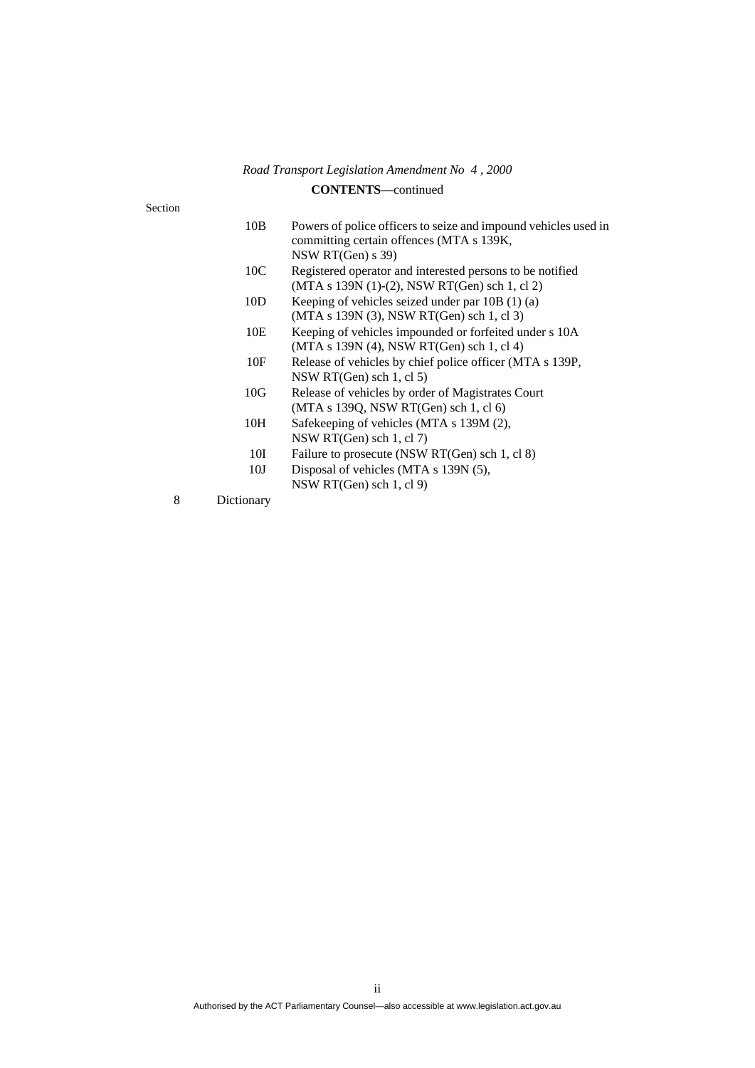### **CONTENTS**—continued

Section

| Powers of police officers to seize and impound vehicles used in<br>committing certain offences (MTA s 139K,<br>NSW RT(Gen) $s$ 39) |
|------------------------------------------------------------------------------------------------------------------------------------|
| Registered operator and interested persons to be notified<br>(MTA s 139N (1)-(2), NSW RT(Gen) sch 1, cl 2)                         |
| Keeping of vehicles seized under par $10B(1)(a)$<br>(MTA s 139N (3), NSW RT(Gen) sch 1, cl 3)                                      |
| Keeping of vehicles impounded or forfeited under s 10A<br>(MTA s 139N (4), NSW RT(Gen) sch 1, cl 4)                                |
| Release of vehicles by chief police officer (MTA s 139P,<br>NSW RT(Gen) sch 1, cl 5)                                               |
| Release of vehicles by order of Magistrates Court<br>(MTA s 139Q, NSW RT(Gen) sch 1, cl 6)                                         |
| Safekeeping of vehicles (MTA s 139M (2),<br>NSW RT(Gen) sch 1, cl 7)                                                               |
| Failure to prosecute (NSW RT(Gen) sch 1, cl 8)                                                                                     |
| Disposal of vehicles (MTA s 139N (5),<br>NSW RT(Gen) sch $1$ , cl $9$ )                                                            |
|                                                                                                                                    |

8 Dictionary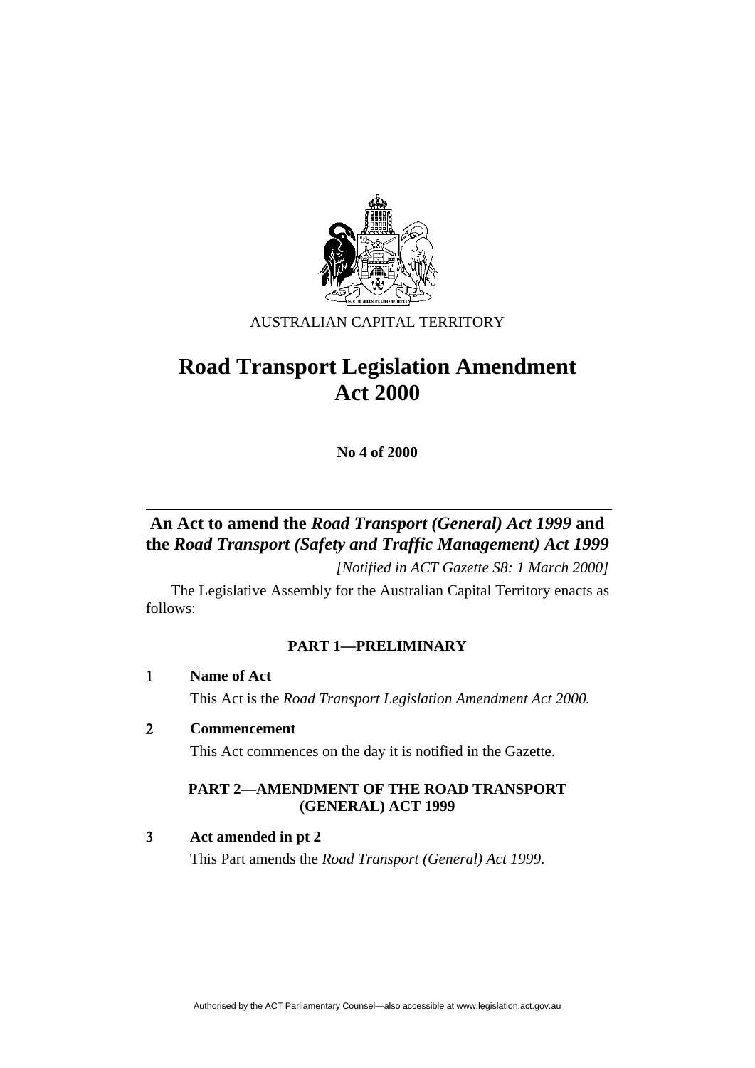

# AUSTRALIAN CAPITAL TERRITORY

# **Road Transport Legislation Amendment Act 2000**

**No 4 of 2000** 

# **An Act to amend the** *Road Transport (General) Act 1999* **and the** *Road Transport (Safety and Traffic Management) Act 1999*

*[Notified in ACT Gazette S8: 1 March 2000]* 

 The Legislative Assembly for the Australian Capital Territory enacts as follows:

# **PART 1—PRELIMINARY**

 **Name of Act**

This Act is the *Road Transport Legislation Amendment Act 2000.*

 **Commencement** 

This Act commences on the day it is notified in the Gazette.

# **PART 2—AMENDMENT OF THE ROAD TRANSPORT (GENERAL) ACT 1999**

 **Act amended in pt 2** 

This Part amends the *Road Transport (General) Act 1999*.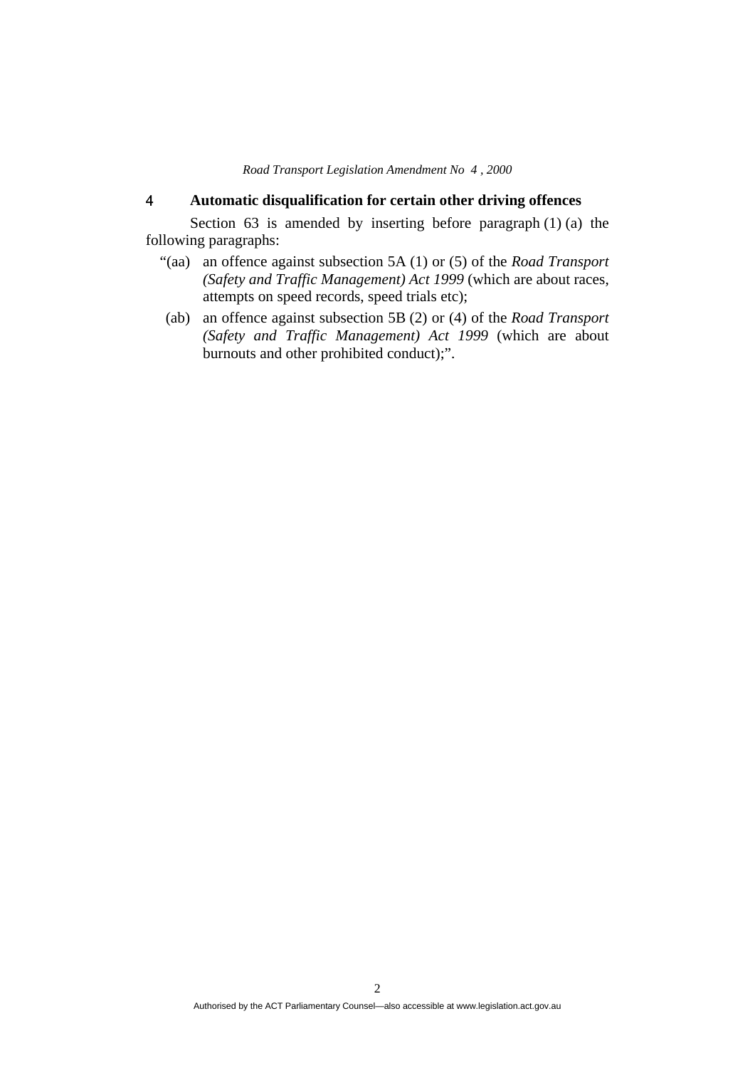# **Automatic disqualification for certain other driving offences**

Section  $63$  is amended by inserting before paragraph  $(1)$   $(a)$  the following paragraphs:

- "(aa) an offence against subsection 5A (1) or (5) of the *Road Transport (Safety and Traffic Management) Act 1999* (which are about races, attempts on speed records, speed trials etc);
- (ab) an offence against subsection 5B (2) or (4) of the *Road Transport (Safety and Traffic Management) Act 1999* (which are about burnouts and other prohibited conduct);".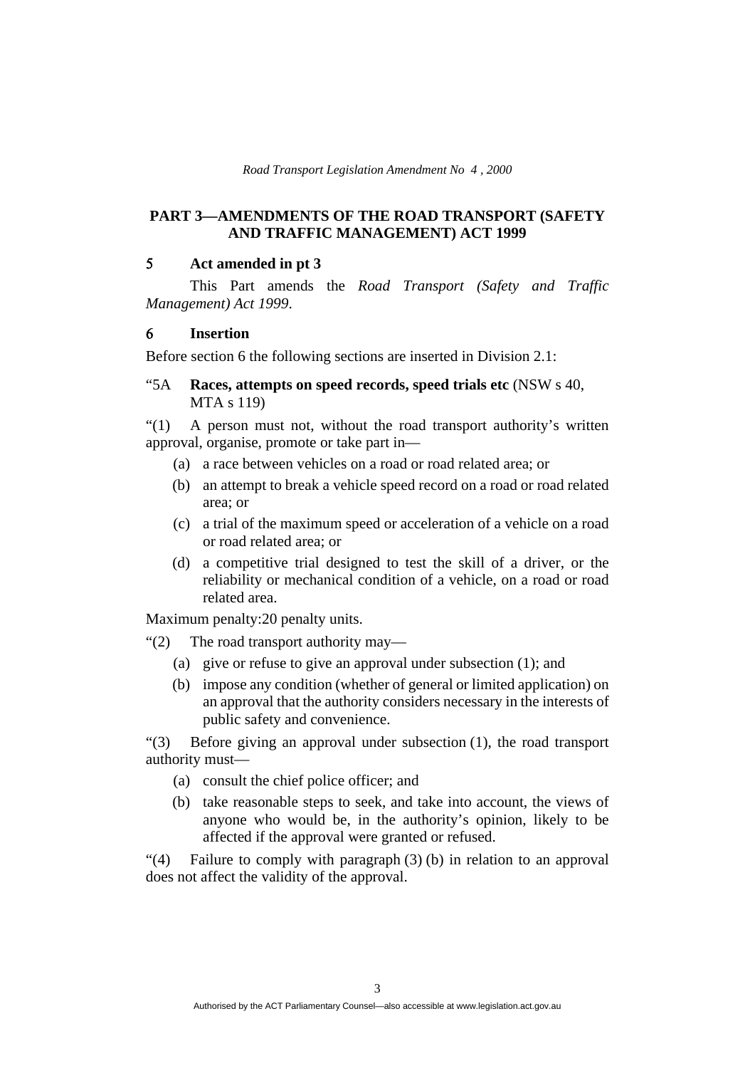# **PART 3—AMENDMENTS OF THE ROAD TRANSPORT (SAFETY AND TRAFFIC MANAGEMENT) ACT 1999**

#### **Act amended in pt 3**

 This Part amends the *Road Transport (Safety and Traffic Management) Act 1999*.

#### **Insertion**

Before section 6 the following sections are inserted in Division 2.1:

"5A **Races, attempts on speed records, speed trials etc** (NSW s 40, MTA s 119)

"(1) A person must not, without the road transport authority's written approval, organise, promote or take part in—

- (a) a race between vehicles on a road or road related area; or
- (b) an attempt to break a vehicle speed record on a road or road related area; or
- (c) a trial of the maximum speed or acceleration of a vehicle on a road or road related area; or
- (d) a competitive trial designed to test the skill of a driver, or the reliability or mechanical condition of a vehicle, on a road or road related area.

Maximum penalty: 20 penalty units.

"(2) The road transport authority may—

- (a) give or refuse to give an approval under subsection (1); and
- (b) impose any condition (whether of general or limited application) on an approval that the authority considers necessary in the interests of public safety and convenience.

"(3) Before giving an approval under subsection (1), the road transport authority must—

- (a) consult the chief police officer; and
- (b) take reasonable steps to seek, and take into account, the views of anyone who would be, in the authority's opinion, likely to be affected if the approval were granted or refused.

"(4) Failure to comply with paragraph (3) (b) in relation to an approval does not affect the validity of the approval.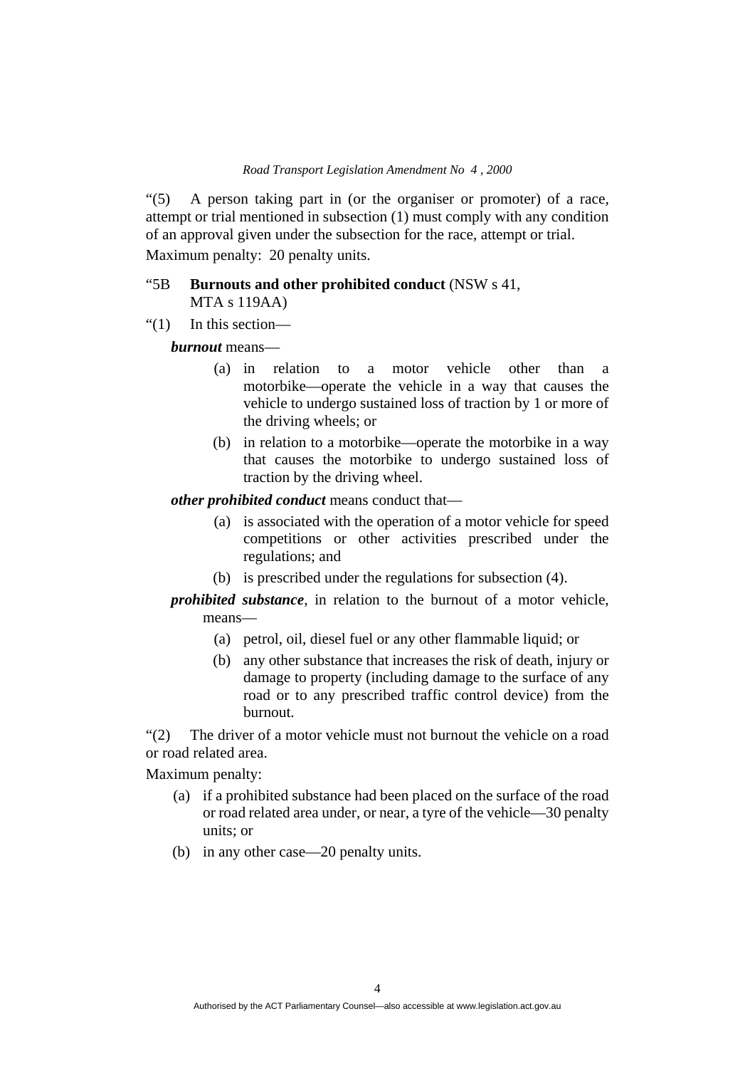"(5) A person taking part in (or the organiser or promoter) of a race, attempt or trial mentioned in subsection (1) must comply with any condition of an approval given under the subsection for the race, attempt or trial. Maximum penalty: 20 penalty units.

## "5B **Burnouts and other prohibited conduct** (NSW s 41, MTA s 119AA)

"(1) In this section—

*burnout* means—

- (a) in relation to a motor vehicle other than a motorbike—operate the vehicle in a way that causes the vehicle to undergo sustained loss of traction by 1 or more of the driving wheels; or
- (b) in relation to a motorbike—operate the motorbike in a way that causes the motorbike to undergo sustained loss of traction by the driving wheel.

*other prohibited conduct* means conduct that—

- (a) is associated with the operation of a motor vehicle for speed competitions or other activities prescribed under the regulations; and
- (b) is prescribed under the regulations for subsection (4).

*prohibited substance*, in relation to the burnout of a motor vehicle, means—

- (a) petrol, oil, diesel fuel or any other flammable liquid; or
- (b) any other substance that increases the risk of death, injury or damage to property (including damage to the surface of any road or to any prescribed traffic control device) from the burnout.

"(2) The driver of a motor vehicle must not burnout the vehicle on a road or road related area.

Maximum penalty:

- (a) if a prohibited substance had been placed on the surface of the road or road related area under, or near, a tyre of the vehicle—30 penalty units; or
- (b) in any other case—20 penalty units.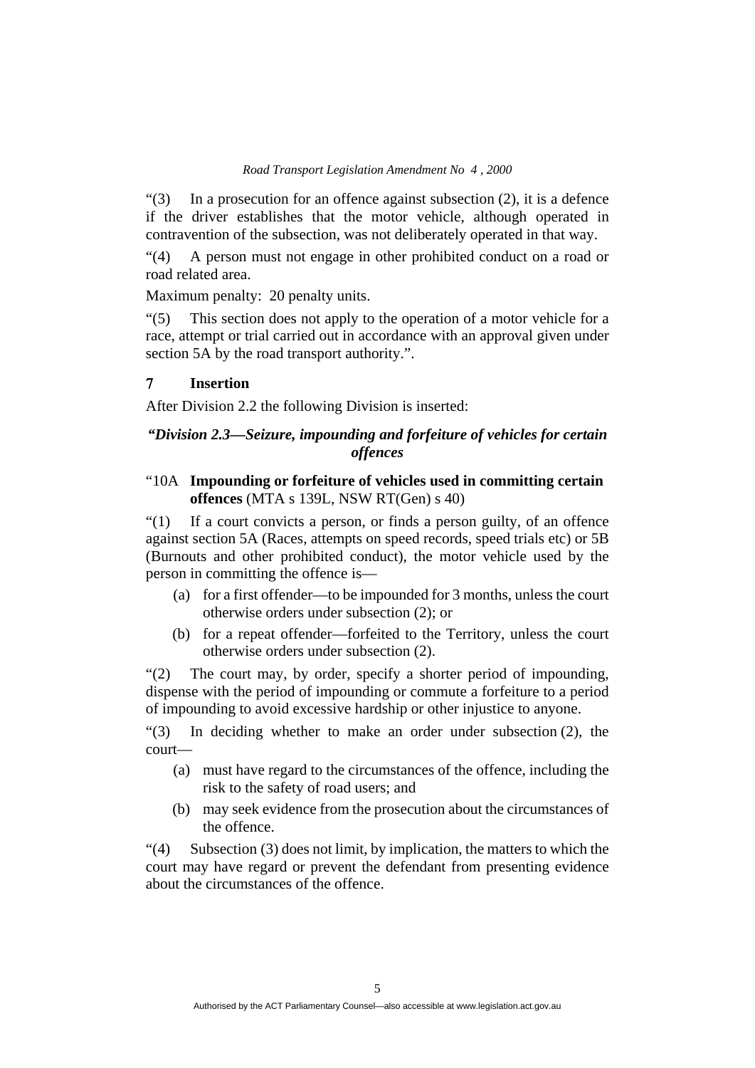"(3) In a prosecution for an offence against subsection (2), it is a defence if the driver establishes that the motor vehicle, although operated in contravention of the subsection, was not deliberately operated in that way.

"(4) A person must not engage in other prohibited conduct on a road or road related area.

Maximum penalty: 20 penalty units.

"(5) This section does not apply to the operation of a motor vehicle for a race, attempt or trial carried out in accordance with an approval given under section 5A by the road transport authority.".

## **Insertion**

After Division 2.2 the following Division is inserted:

# *"Division 2.3—Seizure, impounding and forfeiture of vehicles for certain offences*

# "10A **Impounding or forfeiture of vehicles used in committing certain offences** (MTA s 139L, NSW RT(Gen) s 40)

"(1) If a court convicts a person, or finds a person guilty, of an offence against section 5A (Races, attempts on speed records, speed trials etc) or 5B (Burnouts and other prohibited conduct), the motor vehicle used by the person in committing the offence is—

- (a) for a first offender—to be impounded for 3 months, unless the court otherwise orders under subsection (2); or
- (b) for a repeat offender—forfeited to the Territory, unless the court otherwise orders under subsection (2).

"(2) The court may, by order, specify a shorter period of impounding, dispense with the period of impounding or commute a forfeiture to a period of impounding to avoid excessive hardship or other injustice to anyone.

"(3) In deciding whether to make an order under subsection (2), the court—

- (a) must have regard to the circumstances of the offence, including the risk to the safety of road users; and
- (b) may seek evidence from the prosecution about the circumstances of the offence.

 $\degree$ (4) Subsection (3) does not limit, by implication, the matters to which the court may have regard or prevent the defendant from presenting evidence about the circumstances of the offence.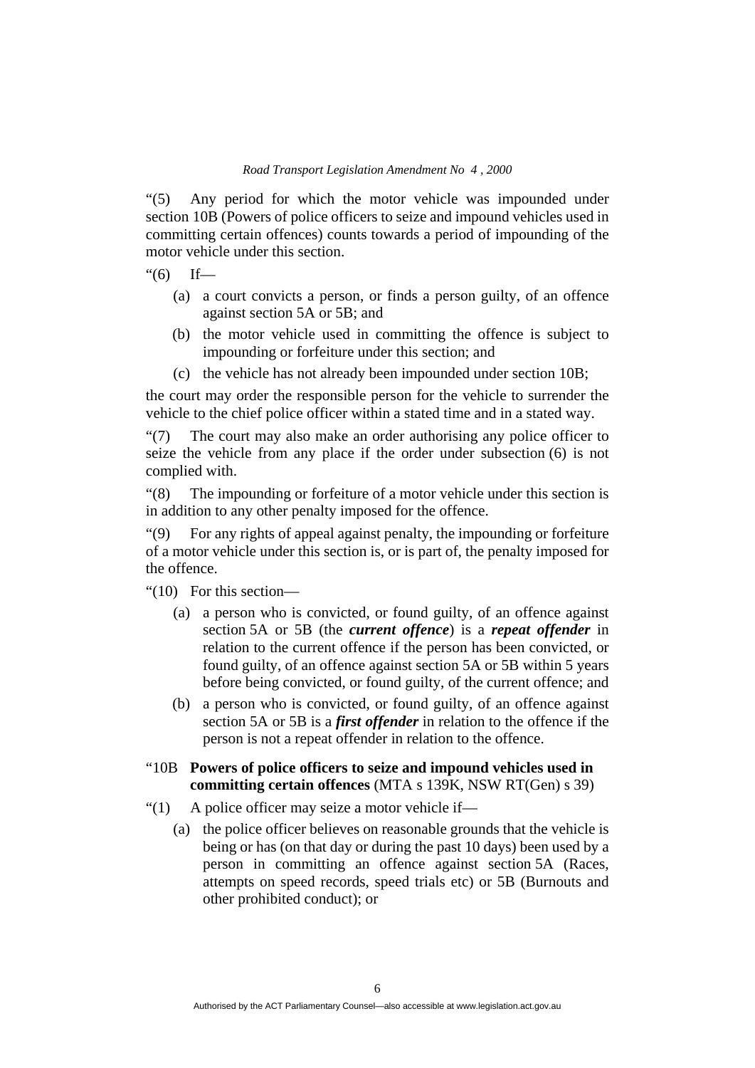"(5) Any period for which the motor vehicle was impounded under section 10B (Powers of police officers to seize and impound vehicles used in committing certain offences) counts towards a period of impounding of the motor vehicle under this section.

### $f''(6)$  If—

- (a) a court convicts a person, or finds a person guilty, of an offence against section 5A or 5B; and
- (b) the motor vehicle used in committing the offence is subject to impounding or forfeiture under this section; and
- (c) the vehicle has not already been impounded under section 10B;

the court may order the responsible person for the vehicle to surrender the vehicle to the chief police officer within a stated time and in a stated way.

"(7) The court may also make an order authorising any police officer to seize the vehicle from any place if the order under subsection (6) is not complied with.

"(8) The impounding or forfeiture of a motor vehicle under this section is in addition to any other penalty imposed for the offence.

"(9) For any rights of appeal against penalty, the impounding or forfeiture of a motor vehicle under this section is, or is part of, the penalty imposed for the offence.

"(10) For this section—

- (a) a person who is convicted, or found guilty, of an offence against section 5A or 5B (the *current offence*) is a *repeat offender* in relation to the current offence if the person has been convicted, or found guilty, of an offence against section 5A or 5B within 5 years before being convicted, or found guilty, of the current offence; and
- (b) a person who is convicted, or found guilty, of an offence against section 5A or 5B is a *first offender* in relation to the offence if the person is not a repeat offender in relation to the offence.
- "10B **Powers of police officers to seize and impound vehicles used in committing certain offences** (MTA s 139K, NSW RT(Gen) s 39)
- "(1) A police officer may seize a motor vehicle if—
	- (a) the police officer believes on reasonable grounds that the vehicle is being or has (on that day or during the past 10 days) been used by a person in committing an offence against section 5A (Races, attempts on speed records, speed trials etc) or 5B (Burnouts and other prohibited conduct); or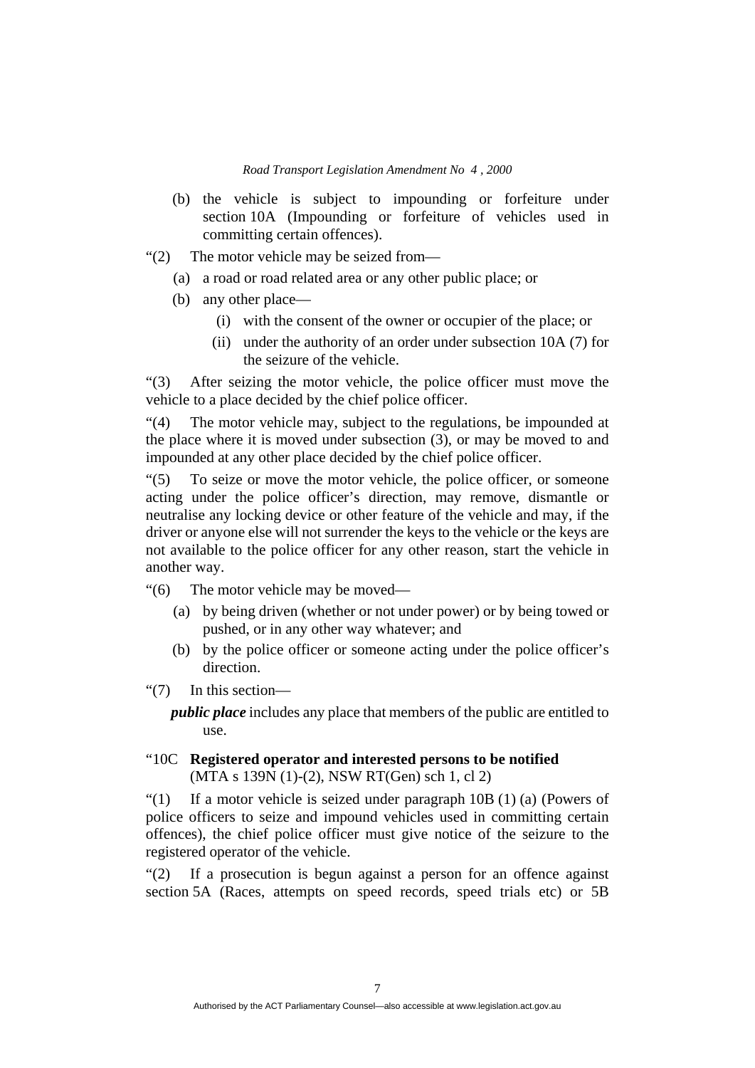- (b) the vehicle is subject to impounding or forfeiture under section 10A (Impounding or forfeiture of vehicles used in committing certain offences).
- "(2) The motor vehicle may be seized from—
	- (a) a road or road related area or any other public place; or
	- (b) any other place—
		- (i) with the consent of the owner or occupier of the place; or
		- (ii) under the authority of an order under subsection 10A (7) for the seizure of the vehicle.

"(3) After seizing the motor vehicle, the police officer must move the vehicle to a place decided by the chief police officer.

"(4) The motor vehicle may, subject to the regulations, be impounded at the place where it is moved under subsection (3), or may be moved to and impounded at any other place decided by the chief police officer.

"(5) To seize or move the motor vehicle, the police officer, or someone acting under the police officer's direction, may remove, dismantle or neutralise any locking device or other feature of the vehicle and may, if the driver or anyone else will not surrender the keys to the vehicle or the keys are not available to the police officer for any other reason, start the vehicle in another way.

"(6) The motor vehicle may be moved—

- (a) by being driven (whether or not under power) or by being towed or pushed, or in any other way whatever; and
- (b) by the police officer or someone acting under the police officer's direction.
- "(7) In this section—

*public place* includes any place that members of the public are entitled to use.

# "10C **Registered operator and interested persons to be notified**  (MTA s 139N (1)-(2), NSW RT(Gen) sch 1, cl 2)

"(1) If a motor vehicle is seized under paragraph 10B (1) (a) (Powers of police officers to seize and impound vehicles used in committing certain offences), the chief police officer must give notice of the seizure to the registered operator of the vehicle.

"(2) If a prosecution is begun against a person for an offence against section 5A (Races, attempts on speed records, speed trials etc) or 5B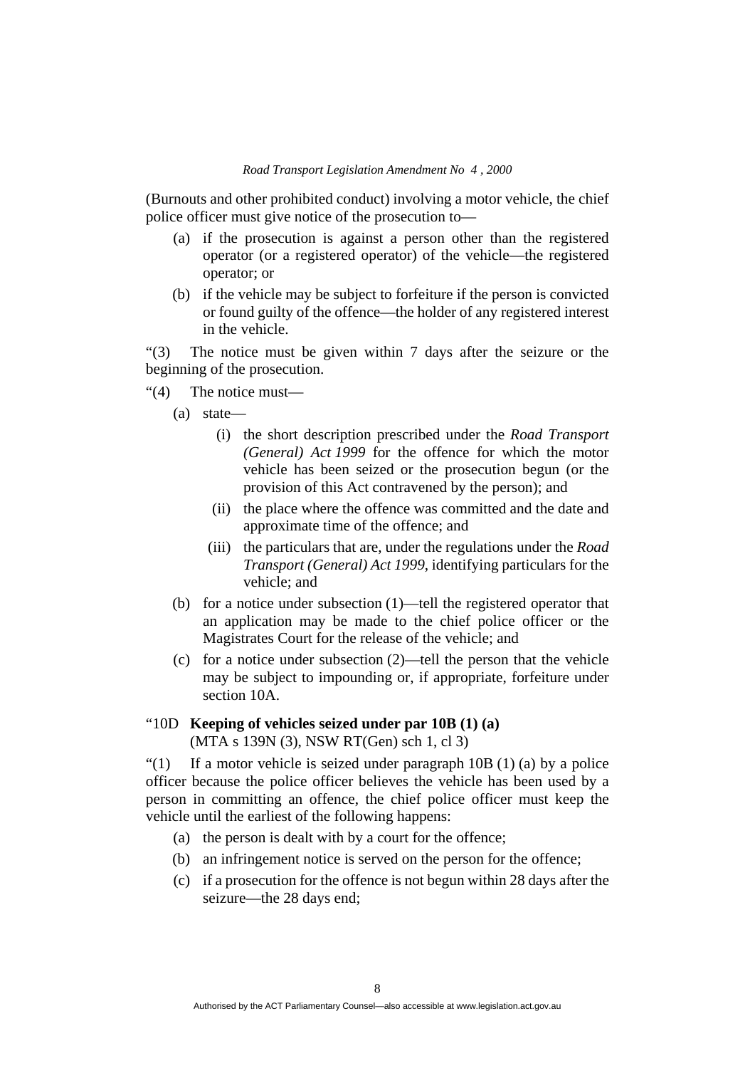(Burnouts and other prohibited conduct) involving a motor vehicle, the chief police officer must give notice of the prosecution to—

- (a) if the prosecution is against a person other than the registered operator (or a registered operator) of the vehicle—the registered operator; or
- (b) if the vehicle may be subject to forfeiture if the person is convicted or found guilty of the offence—the holder of any registered interest in the vehicle.

"(3) The notice must be given within 7 days after the seizure or the beginning of the prosecution.

- "(4) The notice must—
	- (a) state—
		- (i) the short description prescribed under the *Road Transport (General) Act 1999* for the offence for which the motor vehicle has been seized or the prosecution begun (or the provision of this Act contravened by the person); and
		- (ii) the place where the offence was committed and the date and approximate time of the offence; and
		- (iii) the particulars that are, under the regulations under the *Road Transport (General) Act 1999*, identifying particulars for the vehicle; and
	- (b) for a notice under subsection (1)—tell the registered operator that an application may be made to the chief police officer or the Magistrates Court for the release of the vehicle; and
	- (c) for a notice under subsection (2)—tell the person that the vehicle may be subject to impounding or, if appropriate, forfeiture under section 10A.

# "10D **Keeping of vehicles seized under par 10B (1) (a)**  (MTA s 139N (3), NSW RT(Gen) sch 1, cl 3)

"(1) If a motor vehicle is seized under paragraph  $10B(1)$  (a) by a police officer because the police officer believes the vehicle has been used by a person in committing an offence, the chief police officer must keep the vehicle until the earliest of the following happens:

- (a) the person is dealt with by a court for the offence;
- (b) an infringement notice is served on the person for the offence;
- (c) if a prosecution for the offence is not begun within 28 days after the seizure—the 28 days end;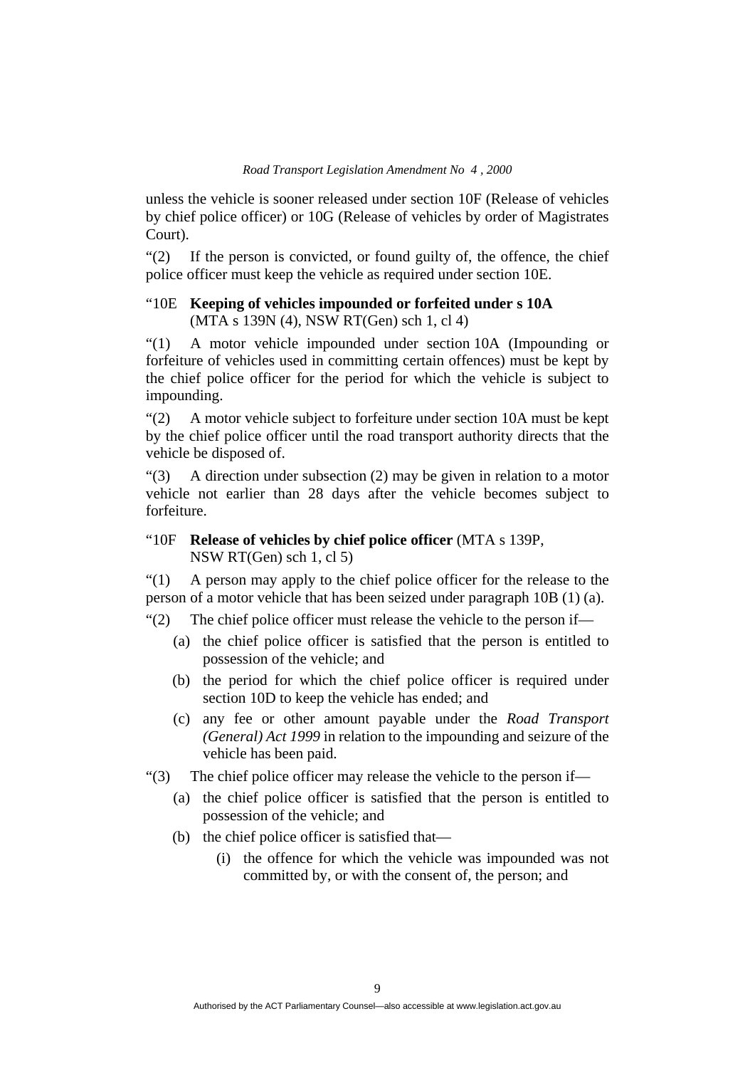unless the vehicle is sooner released under section 10F (Release of vehicles by chief police officer) or 10G (Release of vehicles by order of Magistrates Court).

"(2) If the person is convicted, or found guilty of, the offence, the chief police officer must keep the vehicle as required under section 10E.

# "10E **Keeping of vehicles impounded or forfeited under s 10A**  (MTA s 139N (4), NSW RT(Gen) sch 1, cl 4)

"(1) A motor vehicle impounded under section 10A (Impounding or forfeiture of vehicles used in committing certain offences) must be kept by the chief police officer for the period for which the vehicle is subject to impounding.

"(2) A motor vehicle subject to forfeiture under section 10A must be kept by the chief police officer until the road transport authority directs that the vehicle be disposed of.

"(3) A direction under subsection (2) may be given in relation to a motor vehicle not earlier than 28 days after the vehicle becomes subject to forfeiture.

# "10F **Release of vehicles by chief police officer** (MTA s 139P, NSW RT(Gen) sch 1, cl 5)

"(1) A person may apply to the chief police officer for the release to the person of a motor vehicle that has been seized under paragraph 10B (1) (a).

"(2) The chief police officer must release the vehicle to the person if—

- (a) the chief police officer is satisfied that the person is entitled to possession of the vehicle; and
- (b) the period for which the chief police officer is required under section 10D to keep the vehicle has ended; and
- (c) any fee or other amount payable under the *Road Transport (General) Act 1999* in relation to the impounding and seizure of the vehicle has been paid.

"(3) The chief police officer may release the vehicle to the person if—

- (a) the chief police officer is satisfied that the person is entitled to possession of the vehicle; and
- (b) the chief police officer is satisfied that—
	- (i) the offence for which the vehicle was impounded was not committed by, or with the consent of, the person; and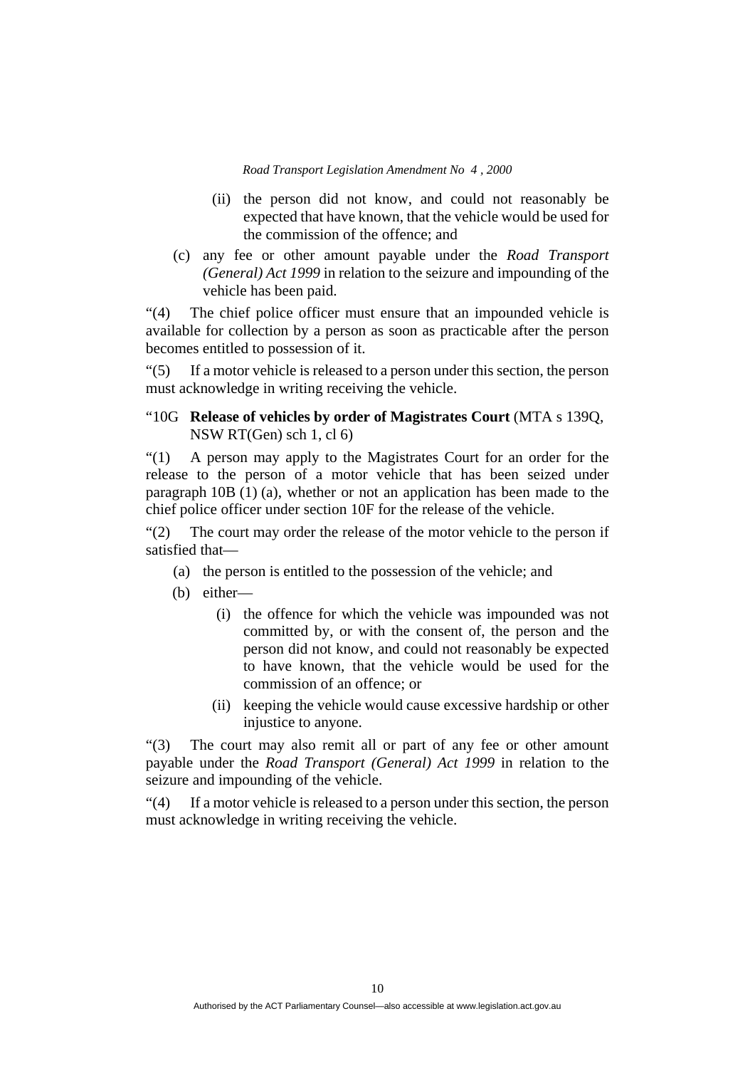- (ii) the person did not know, and could not reasonably be expected that have known, that the vehicle would be used for the commission of the offence; and
- (c) any fee or other amount payable under the *Road Transport (General) Act 1999* in relation to the seizure and impounding of the vehicle has been paid.

"(4) The chief police officer must ensure that an impounded vehicle is available for collection by a person as soon as practicable after the person becomes entitled to possession of it.

"(5) If a motor vehicle is released to a person under this section, the person must acknowledge in writing receiving the vehicle.

# "10G **Release of vehicles by order of Magistrates Court** (MTA s 139Q, NSW RT(Gen) sch 1, cl 6)

"(1) A person may apply to the Magistrates Court for an order for the release to the person of a motor vehicle that has been seized under paragraph 10B (1) (a), whether or not an application has been made to the chief police officer under section 10F for the release of the vehicle.

"(2) The court may order the release of the motor vehicle to the person if satisfied that—

- (a) the person is entitled to the possession of the vehicle; and
- (b) either—
	- (i) the offence for which the vehicle was impounded was not committed by, or with the consent of, the person and the person did not know, and could not reasonably be expected to have known, that the vehicle would be used for the commission of an offence; or
	- (ii) keeping the vehicle would cause excessive hardship or other injustice to anyone.

"(3) The court may also remit all or part of any fee or other amount payable under the *Road Transport (General) Act 1999* in relation to the seizure and impounding of the vehicle.

"(4) If a motor vehicle is released to a person under this section, the person must acknowledge in writing receiving the vehicle.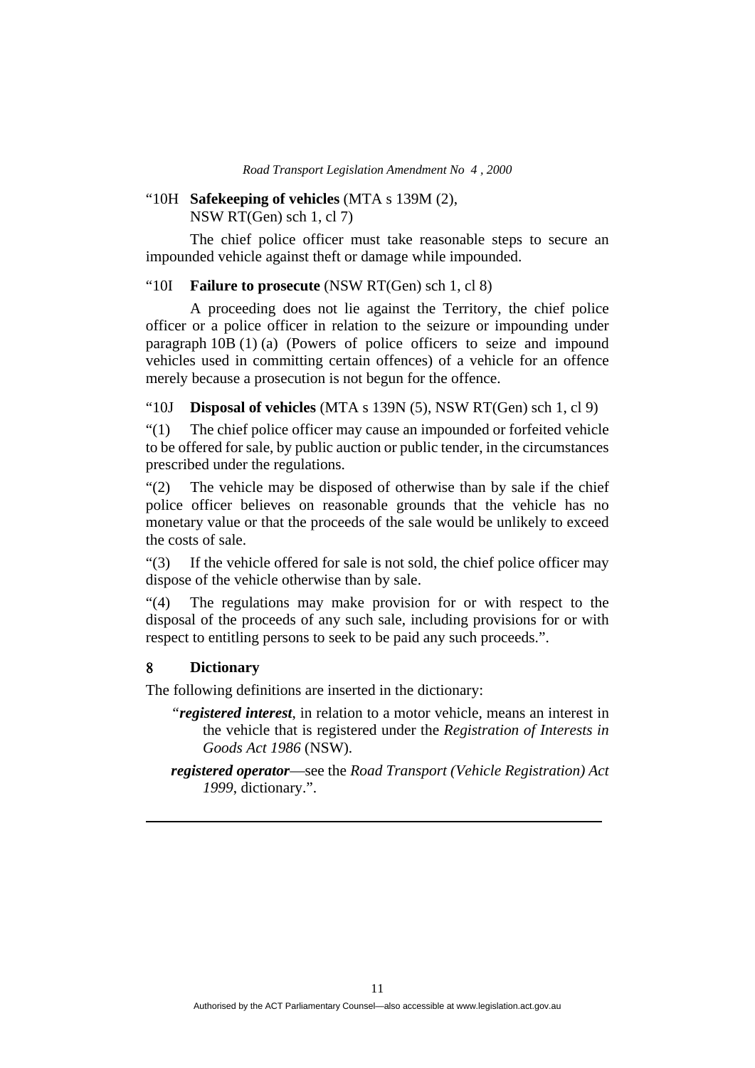#### "10H **Safekeeping of vehicles** (MTA s 139M (2), NSW RT(Gen) sch 1, cl 7)

 The chief police officer must take reasonable steps to secure an impounded vehicle against theft or damage while impounded.

#### "10I **Failure to prosecute** (NSW RT(Gen) sch 1, cl 8)

A proceeding does not lie against the Territory, the chief police officer or a police officer in relation to the seizure or impounding under paragraph 10B (1) (a) (Powers of police officers to seize and impound vehicles used in committing certain offences) of a vehicle for an offence merely because a prosecution is not begun for the offence.

"10J **Disposal of vehicles** (MTA s 139N (5), NSW RT(Gen) sch 1, cl 9)

"(1) The chief police officer may cause an impounded or forfeited vehicle to be offered for sale, by public auction or public tender, in the circumstances prescribed under the regulations.

"(2) The vehicle may be disposed of otherwise than by sale if the chief police officer believes on reasonable grounds that the vehicle has no monetary value or that the proceeds of the sale would be unlikely to exceed the costs of sale.

"(3) If the vehicle offered for sale is not sold, the chief police officer may dispose of the vehicle otherwise than by sale.

"(4) The regulations may make provision for or with respect to the disposal of the proceeds of any such sale, including provisions for or with respect to entitling persons to seek to be paid any such proceeds.".

# **Dictionary**

The following definitions are inserted in the dictionary:

- *"registered interest*, in relation to a motor vehicle, means an interest in the vehicle that is registered under the *Registration of Interests in Goods Act 1986* (NSW).
- *registered operator*—see the *Road Transport (Vehicle Registration) Act 1999*, dictionary.".